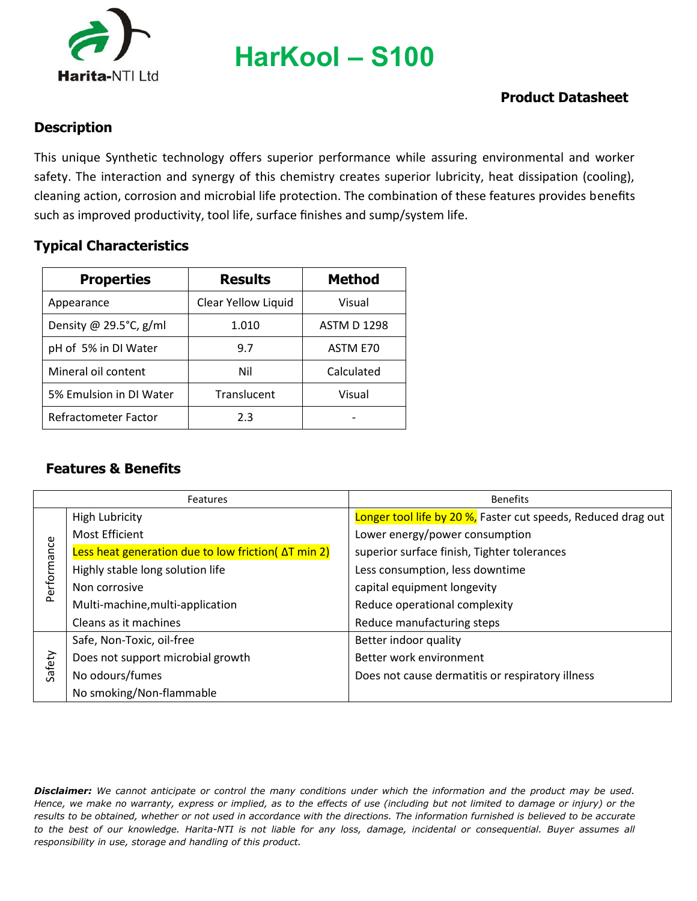

**HarKool – S100**

## **Product Datasheet**

#### **Description**

This unique Synthetic technology offers superior performance while assuring environmental and worker safety. The interaction and synergy of this chemistry creates superior lubricity, heat dissipation (cooling), cleaning action, corrosion and microbial life protection. The combination of these features provides benefits such as improved productivity, tool life, surface finishes and sump/system life.

#### **Typical Characteristics**

| <b>Properties</b>       | <b>Results</b>      | <b>Method</b>      |
|-------------------------|---------------------|--------------------|
| Appearance              | Clear Yellow Liquid | Visual             |
| Density @ 29.5°C, g/ml  | 1.010               | <b>ASTM D 1298</b> |
| pH of 5% in DI Water    | 9.7                 | ASTM E70           |
| Mineral oil content     | Nil                 | Calculated         |
| 5% Emulsion in DI Water | Translucent         | Visual             |
| Refractometer Factor    | 2.3                 |                    |

## **Features & Benefits**

|             | Features                                                    | <b>Benefits</b>                                               |
|-------------|-------------------------------------------------------------|---------------------------------------------------------------|
| Performance | <b>High Lubricity</b>                                       | Longer tool life by 20 %, Faster cut speeds, Reduced drag out |
|             | Most Efficient                                              | Lower energy/power consumption                                |
|             | Less heat generation due to low friction( $\Delta T$ min 2) | superior surface finish, Tighter tolerances                   |
|             | Highly stable long solution life                            | Less consumption, less downtime                               |
|             | Non corrosive                                               | capital equipment longevity                                   |
|             | Multi-machine, multi-application                            | Reduce operational complexity                                 |
|             | Cleans as it machines                                       | Reduce manufacturing steps                                    |
| Safety      | Safe, Non-Toxic, oil-free                                   | Better indoor quality                                         |
|             | Does not support microbial growth                           | Better work environment                                       |
|             | No odours/fumes                                             | Does not cause dermatitis or respiratory illness              |
|             | No smoking/Non-flammable                                    |                                                               |

*Disclaimer: We cannot anticipate or control the many conditions under which the information and the product may be used. Hence, we make no warranty, express or implied, as to the effects of use (including but not limited to damage or injury) or the results to be obtained, whether or not used in accordance with the directions. The information furnished is believed to be accurate to the best of our knowledge. Harita-NTI is not liable for any loss, damage, incidental or consequential. Buyer assumes all responsibility in use, storage and handling of this product.*